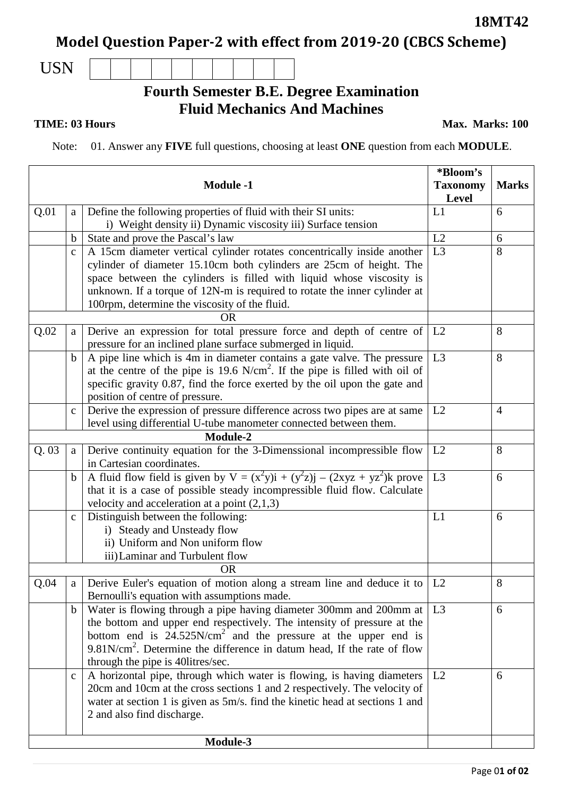**Model Question Paper-2 with effect from 2019-20 (CBCS Scheme)**

USN

**Fourth Semester B.E. Degree Examination**

## **Fluid Mechanics And Machines**

**TIME: 03 Hours** Max. Marks: 100

Note: 01. Answer any **FIVE** full questions, choosing at least **ONE** question from each **MODULE**.

|                  |              |                                                                                        | *Bloom's        |                |
|------------------|--------------|----------------------------------------------------------------------------------------|-----------------|----------------|
| <b>Module -1</b> |              |                                                                                        | <b>Taxonomy</b> | <b>Marks</b>   |
|                  |              |                                                                                        | Level           |                |
| Q.01             | a            | Define the following properties of fluid with their SI units:                          | L1              | 6              |
|                  |              | i) Weight density ii) Dynamic viscosity iii) Surface tension                           |                 |                |
|                  | b            | State and prove the Pascal's law                                                       | L2              | 6              |
|                  | $\mathbf c$  | A 15cm diameter vertical cylinder rotates concentrically inside another                | L3              | 8              |
|                  |              | cylinder of diameter 15.10cm both cylinders are 25cm of height. The                    |                 |                |
|                  |              | space between the cylinders is filled with liquid whose viscosity is                   |                 |                |
|                  |              | unknown. If a torque of 12N-m is required to rotate the inner cylinder at              |                 |                |
|                  |              | 100rpm, determine the viscosity of the fluid.                                          |                 |                |
|                  |              | <b>OR</b>                                                                              |                 |                |
| Q.02             | a            | Derive an expression for total pressure force and depth of centre of $ L2 $            |                 | 8              |
|                  |              | pressure for an inclined plane surface submerged in liquid.                            |                 |                |
|                  | $\mathbf b$  | A pipe line which is 4m in diameter contains a gate valve. The pressure                | L3              | 8              |
|                  |              | at the centre of the pipe is $19.6 \text{ N/cm}^2$ . If the pipe is filled with oil of |                 |                |
|                  |              | specific gravity 0.87, find the force exerted by the oil upon the gate and             |                 |                |
|                  |              | position of centre of pressure.                                                        |                 |                |
|                  | $\mathbf c$  | Derive the expression of pressure difference across two pipes are at same              | L2              | $\overline{4}$ |
|                  |              | level using differential U-tube manometer connected between them.                      |                 |                |
|                  |              | Module-2                                                                               |                 |                |
| Q.03             | a            | Derive continuity equation for the 3-Dimenssional incompressible flow                  | L2              | 8              |
|                  |              | in Cartesian coordinates.                                                              |                 |                |
|                  | b            | A fluid flow field is given by $V = (x^2y)i + (y^2z)j - (2xyz + yz^2)k$ prove          | L3              | 6              |
|                  |              | that it is a case of possible steady incompressible fluid flow. Calculate              |                 |                |
|                  |              | velocity and acceleration at a point $(2,1,3)$                                         |                 |                |
|                  | $\mathbf{C}$ | Distinguish between the following:                                                     | L1              | 6              |
|                  |              | i) Steady and Unsteady flow                                                            |                 |                |
|                  |              | ii) Uniform and Non uniform flow                                                       |                 |                |
|                  |              | iii) Laminar and Turbulent flow                                                        |                 |                |
|                  |              | OR                                                                                     |                 |                |
| Q.04             | a            | Derive Euler's equation of motion along a stream line and deduce it to                 | L2              | 8              |
|                  |              | Bernoulli's equation with assumptions made.                                            |                 |                |
|                  | b            | Water is flowing through a pipe having diameter 300mm and 200mm at                     | L <sub>3</sub>  | 6              |
|                  |              | the bottom and upper end respectively. The intensity of pressure at the                |                 |                |
|                  |              | bottom end is $24.525N/cm^2$ and the pressure at the upper end is                      |                 |                |
|                  |              | $9.81$ N/cm <sup>2</sup> . Determine the difference in datum head, If the rate of flow |                 |                |
|                  |              | through the pipe is 40 litres/sec.                                                     |                 |                |
|                  | $\mathbf{C}$ | A horizontal pipe, through which water is flowing, is having diameters                 | L2              | 6              |
|                  |              | 20cm and 10cm at the cross sections 1 and 2 respectively. The velocity of              |                 |                |
|                  |              | water at section 1 is given as 5m/s. find the kinetic head at sections 1 and           |                 |                |
|                  |              | 2 and also find discharge.                                                             |                 |                |
|                  |              |                                                                                        |                 |                |
| Module-3         |              |                                                                                        |                 |                |